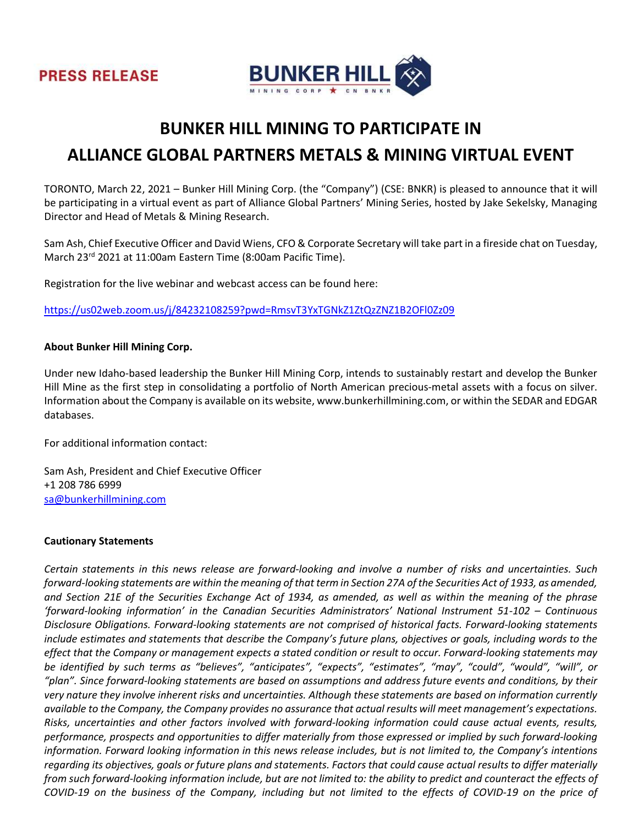

# BUNKER HILL MINING TO PARTICIPATE IN

# ALLIANCE GLOBAL PARTNERS METALS & MINING VIRTUAL EVENT

TORONTO, March 22, 2021 – Bunker Hill Mining Corp. (the "Company") (CSE: BNKR) is pleased to announce that it will be participating in a virtual event as part of Alliance Global Partners' Mining Series, hosted by Jake Sekelsky, Managing Director and Head of Metals & Mining Research.

Sam Ash, Chief Executive Officer and David Wiens, CFO & Corporate Secretary will take part in a fireside chat on Tuesday, March 23rd 2021 at 11:00am Eastern Time (8:00am Pacific Time).

Registration for the live webinar and webcast access can be found here:

https://us02web.zoom.us/j/84232108259?pwd=RmsvT3YxTGNkZ1ZtQzZNZ1B2OFl0Zz09

### About Bunker Hill Mining Corp.

Under new Idaho-based leadership the Bunker Hill Mining Corp, intends to sustainably restart and develop the Bunker Hill Mine as the first step in consolidating a portfolio of North American precious-metal assets with a focus on silver. Information about the Company is available on its website, www.bunkerhillmining.com, or within the SEDAR and EDGAR databases.

For additional information contact:

Sam Ash, President and Chief Executive Officer +1 208 786 6999 sa@bunkerhillmining.com

#### Cautionary Statements

Certain statements in this news release are forward-looking and involve a number of risks and uncertainties. Such forward-looking statements are within the meaning of that term in Section 27A of the Securities Act of 1933, as amended, and Section 21E of the Securities Exchange Act of 1934, as amended, as well as within the meaning of the phrase 'forward-looking information' in the Canadian Securities Administrators' National Instrument 51-102 – Continuous Disclosure Obligations. Forward-looking statements are not comprised of historical facts. Forward-looking statements include estimates and statements that describe the Company's future plans, objectives or goals, including words to the effect that the Company or management expects a stated condition or result to occur. Forward-looking statements may be identified by such terms as "believes", "anticipates", "expects", "estimates", "may", "could", "would", "will", or "plan". Since forward-looking statements are based on assumptions and address future events and conditions, by their very nature they involve inherent risks and uncertainties. Although these statements are based on information currently available to the Company, the Company provides no assurance that actual results will meet management's expectations. Risks, uncertainties and other factors involved with forward-looking information could cause actual events, results, performance, prospects and opportunities to differ materially from those expressed or implied by such forward-looking information. Forward looking information in this news release includes, but is not limited to, the Company's intentions regarding its objectives, goals or future plans and statements. Factors that could cause actual results to differ materially from such forward-looking information include, but are not limited to: the ability to predict and counteract the effects of COVID-19 on the business of the Company, including but not limited to the effects of COVID-19 on the price of